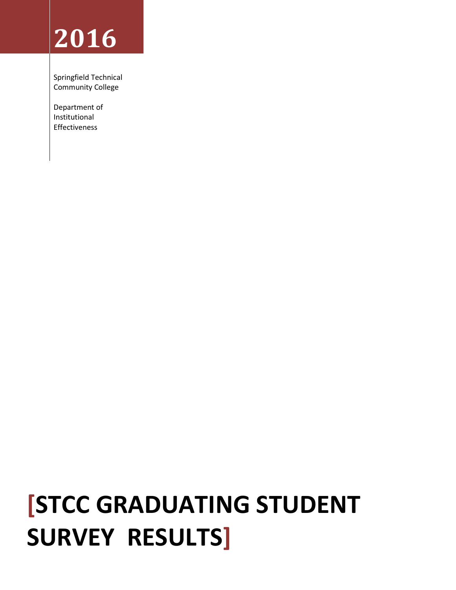# **2016**

Springfield Technical Community College

Department of Institutional Effectiveness

# **[STCC GRADUATING STUDENT SURVEY RESULTS]**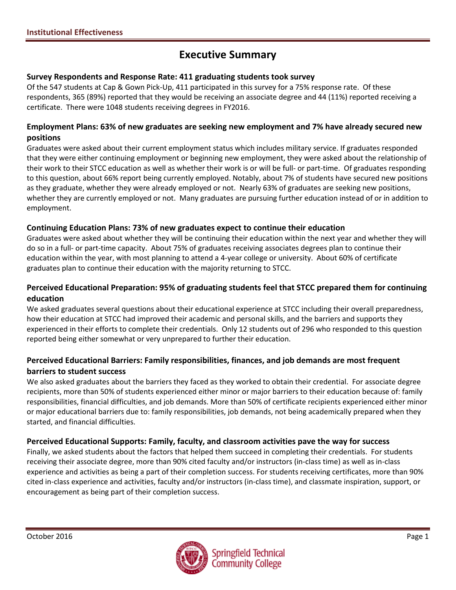# **Executive Summary**

#### **Survey Respondents and Response Rate: 411 graduating students took survey**

Of the 547 students at Cap & Gown Pick-Up, 411 participated in this survey for a 75% response rate. Of these respondents, 365 (89%) reported that they would be receiving an associate degree and 44 (11%) reported receiving a certificate. There were 1048 students receiving degrees in FY2016.

#### **Employment Plans: 63% of new graduates are seeking new employment and 7% have already secured new positions**

Graduates were asked about their current employment status which includes military service. If graduates responded that they were either continuing employment or beginning new employment, they were asked about the relationship of their work to their STCC education as well as whether their work is or will be full- or part-time. Of graduates responding to this question, about 66% report being currently employed. Notably, about 7% of students have secured new positions as they graduate, whether they were already employed or not. Nearly 63% of graduates are seeking new positions, whether they are currently employed or not. Many graduates are pursuing further education instead of or in addition to employment.

### **Continuing Education Plans: 73% of new graduates expect to continue their education**

Graduates were asked about whether they will be continuing their education within the next year and whether they will do so in a full- or part-time capacity. About 75% of graduates receiving associates degrees plan to continue their education within the year, with most planning to attend a 4-year college or university. About 60% of certificate graduates plan to continue their education with the majority returning to STCC.

## **Perceived Educational Preparation: 95% of graduating students feel that STCC prepared them for continuing education**

We asked graduates several questions about their educational experience at STCC including their overall preparedness, how their education at STCC had improved their academic and personal skills, and the barriers and supports they experienced in their efforts to complete their credentials. Only 12 students out of 296 who responded to this question reported being either somewhat or very unprepared to further their education.

## **Perceived Educational Barriers: Family responsibilities, finances, and job demands are most frequent barriers to student success**

We also asked graduates about the barriers they faced as they worked to obtain their credential. For associate degree recipients, more than 50% of students experienced either minor or major barriers to their education because of: family responsibilities, financial difficulties, and job demands. More than 50% of certificate recipients experienced either minor or major educational barriers due to: family responsibilities, job demands, not being academically prepared when they started, and financial difficulties.

### **Perceived Educational Supports: Family, faculty, and classroom activities pave the way for success**

Finally, we asked students about the factors that helped them succeed in completing their credentials. For students receiving their associate degree, more than 90% cited faculty and/or instructors (in-class time) as well as in-class experience and activities as being a part of their completion success. For students receiving certificates, more than 90% cited in-class experience and activities, faculty and/or instructors (in-class time), and classmate inspiration, support, or encouragement as being part of their completion success.

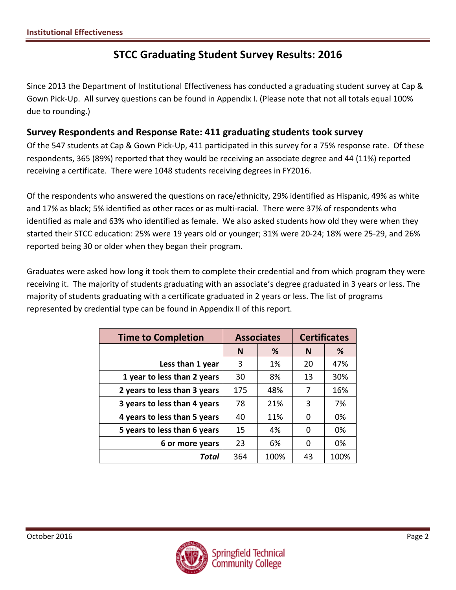# **STCC Graduating Student Survey Results: 2016**

Since 2013 the Department of Institutional Effectiveness has conducted a graduating student survey at Cap & Gown Pick-Up. All survey questions can be found in Appendix I. (Please note that not all totals equal 100% due to rounding.)

## **Survey Respondents and Response Rate: 411 graduating students took survey**

Of the 547 students at Cap & Gown Pick-Up, 411 participated in this survey for a 75% response rate. Of these respondents, 365 (89%) reported that they would be receiving an associate degree and 44 (11%) reported receiving a certificate. There were 1048 students receiving degrees in FY2016.

Of the respondents who answered the questions on race/ethnicity, 29% identified as Hispanic, 49% as white and 17% as black; 5% identified as other races or as multi-racial. There were 37% of respondents who identified as male and 63% who identified as female. We also asked students how old they were when they started their STCC education: 25% were 19 years old or younger; 31% were 20-24; 18% were 25-29, and 26% reported being 30 or older when they began their program.

Graduates were asked how long it took them to complete their credential and from which program they were receiving it. The majority of students graduating with an associate's degree graduated in 3 years or less. The majority of students graduating with a certificate graduated in 2 years or less. The list of programs represented by credential type can be found in Appendix II of this report.

| <b>Time to Completion</b>    |        | <b>Associates</b> | <b>Certificates</b> |      |  |
|------------------------------|--------|-------------------|---------------------|------|--|
|                              | %<br>N |                   | N                   | %    |  |
| Less than 1 year             | 3      | 1%                | 20                  | 47%  |  |
| 1 year to less than 2 years  | 30     | 8%                | 13                  | 30%  |  |
| 2 years to less than 3 years | 175    | 48%               | 7                   | 16%  |  |
| 3 years to less than 4 years | 78     | 21%               | 3                   | 7%   |  |
| 4 years to less than 5 years | 40     | 11%               | 0                   | 0%   |  |
| 5 years to less than 6 years | 15     | 4%                | 0                   | 0%   |  |
| 6 or more years              | 23     | 6%                | 0                   | 0%   |  |
| Total                        | 364    | 100%              | 43                  | 100% |  |

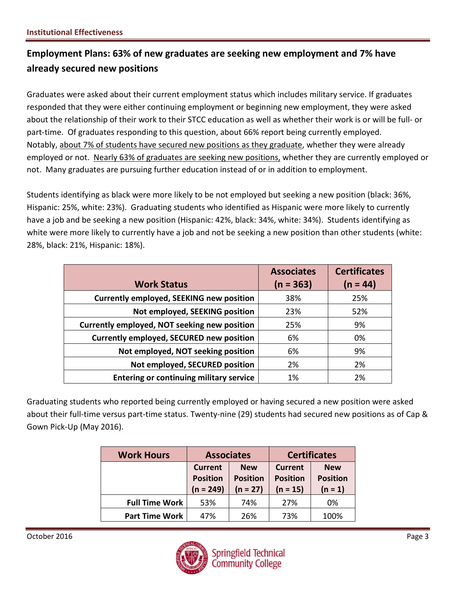## **Employment Plans: 63% of new graduates are seeking new employment and 7% have already secured new positions**

Graduates were asked about their current employment status which includes military service. If graduates responded that they were either continuing employment or beginning new employment, they were asked about the relationship of their work to their STCC education as well as whether their work is or will be full- or part-time. Of graduates responding to this question, about 66% report being currently employed. Notably, about 7% of students have secured new positions as they graduate, whether they were already employed or not. Nearly 63% of graduates are seeking new positions, whether they are currently employed or not. Many graduates are pursuing further education instead of or in addition to employment.

Students identifying as black were more likely to be not employed but seeking a new position (black: 36%, Hispanic: 25%, white: 23%). Graduating students who identified as Hispanic were more likely to currently have a job and be seeking a new position (Hispanic: 42%, black: 34%, white: 34%). Students identifying as white were more likely to currently have a job and not be seeking a new position than other students (white: 28%, black: 21%, Hispanic: 18%).

|                                                 | <b>Associates</b> | <b>Certificates</b> |
|-------------------------------------------------|-------------------|---------------------|
| <b>Work Status</b>                              | $(n = 363)$       | $(n = 44)$          |
| <b>Currently employed, SEEKING new position</b> | 38%               | 25%                 |
| Not employed, SEEKING position                  | 23%               | 52%                 |
| Currently employed, NOT seeking new position    | 25%               | 9%                  |
| <b>Currently employed, SECURED new position</b> | 6%                | 0%                  |
| Not employed, NOT seeking position              | 6%                | 9%                  |
| Not employed, SECURED position                  | 2%                | 2%                  |
| <b>Entering or continuing military service</b>  | 1%                | 2%                  |

Graduating students who reported being currently employed or having secured a new position were asked about their full-time versus part-time status. Twenty-nine (29) students had secured new positions as of Cap & Gown Pick-Up (May 2016).

| <b>Work Hours</b>     | <b>Associates</b>                                |                                             |                                                 | <b>Certificates</b>                        |
|-----------------------|--------------------------------------------------|---------------------------------------------|-------------------------------------------------|--------------------------------------------|
|                       | <b>Current</b><br><b>Position</b><br>$(n = 249)$ | <b>New</b><br><b>Position</b><br>$(n = 27)$ | <b>Current</b><br><b>Position</b><br>$(n = 15)$ | <b>New</b><br><b>Position</b><br>$(n = 1)$ |
| <b>Full Time Work</b> | 53%                                              | 74%                                         | 27%                                             | 0%                                         |
| <b>Part Time Work</b> | 47%                                              | 26%                                         | 73%                                             | 100%                                       |

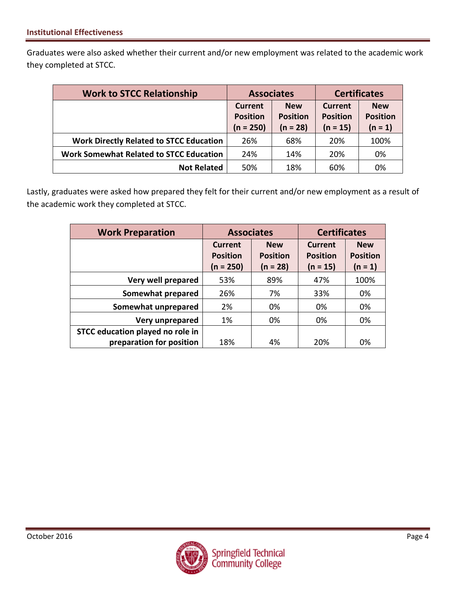Graduates were also asked whether their current and/or new employment was related to the academic work they completed at STCC.

| <b>Work to STCC Relationship</b>               | <b>Associates</b>              |                               | <b>Certificates</b>           |                              |  |
|------------------------------------------------|--------------------------------|-------------------------------|-------------------------------|------------------------------|--|
|                                                | <b>New</b><br>Current          |                               | Current                       | <b>New</b>                   |  |
|                                                | <b>Position</b><br>$(n = 250)$ | <b>Position</b><br>$(n = 28)$ | <b>Position</b><br>$(n = 15)$ | <b>Position</b><br>$(n = 1)$ |  |
| <b>Work Directly Related to STCC Education</b> | 26%                            | 68%                           | 20%                           | 100%                         |  |
| <b>Work Somewhat Related to STCC Education</b> | 24%                            | 14%                           | 20%                           | 0%                           |  |
| <b>Not Related</b>                             | 50%                            | 18%                           | 60%                           | 0%                           |  |

Lastly, graduates were asked how prepared they felt for their current and/or new employment as a result of the academic work they completed at STCC.

| <b>Work Preparation</b>          | <b>Associates</b>                                |                                             | <b>Certificates</b> |                                            |  |
|----------------------------------|--------------------------------------------------|---------------------------------------------|---------------------|--------------------------------------------|--|
|                                  | <b>Current</b><br><b>Position</b><br>$(n = 250)$ | <b>New</b><br><b>Position</b><br>$(n = 28)$ |                     | <b>New</b><br><b>Position</b><br>$(n = 1)$ |  |
| Very well prepared               | 53%                                              | 89%                                         | 47%                 | 100%                                       |  |
| Somewhat prepared                | 26%                                              | 7%                                          | 33%                 | 0%                                         |  |
| Somewhat unprepared              | 2%                                               | 0%                                          | 0%                  | 0%                                         |  |
| Very unprepared                  | 1%                                               | 0%                                          | 0%                  | 0%                                         |  |
| STCC education played no role in |                                                  |                                             |                     |                                            |  |
| preparation for position         | 18%                                              | 4%                                          | 20%                 | 0%                                         |  |

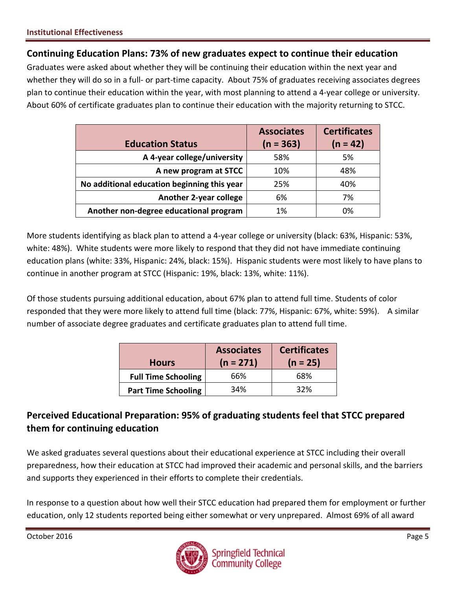## **Continuing Education Plans: 73% of new graduates expect to continue their education**

Graduates were asked about whether they will be continuing their education within the next year and whether they will do so in a full- or part-time capacity. About 75% of graduates receiving associates degrees plan to continue their education within the year, with most planning to attend a 4-year college or university. About 60% of certificate graduates plan to continue their education with the majority returning to STCC.

|                                             | <b>Associates</b> | <b>Certificates</b> |
|---------------------------------------------|-------------------|---------------------|
| <b>Education Status</b>                     | $(n = 363)$       | $(n = 42)$          |
| A 4-year college/university                 | 58%               | 5%                  |
| A new program at STCC                       | 10%               | 48%                 |
| No additional education beginning this year | 25%               | 40%                 |
| <b>Another 2-year college</b>               | 6%                | 7%                  |
| Another non-degree educational program      | 1%                | 0%                  |

More students identifying as black plan to attend a 4-year college or university (black: 63%, Hispanic: 53%, white: 48%). White students were more likely to respond that they did not have immediate continuing education plans (white: 33%, Hispanic: 24%, black: 15%). Hispanic students were most likely to have plans to continue in another program at STCC (Hispanic: 19%, black: 13%, white: 11%).

Of those students pursuing additional education, about 67% plan to attend full time. Students of color responded that they were more likely to attend full time (black: 77%, Hispanic: 67%, white: 59%). A similar number of associate degree graduates and certificate graduates plan to attend full time.

| <b>Hours</b>               | <b>Associates</b><br>$(n = 271)$ | <b>Certificates</b><br>$(n = 25)$ |
|----------------------------|----------------------------------|-----------------------------------|
| <b>Full Time Schooling</b> | 66%                              | 68%                               |
| <b>Part Time Schooling</b> | 34%                              | 32%                               |

## **Perceived Educational Preparation: 95% of graduating students feel that STCC prepared them for continuing education**

We asked graduates several questions about their educational experience at STCC including their overall preparedness, how their education at STCC had improved their academic and personal skills, and the barriers and supports they experienced in their efforts to complete their credentials.

In response to a question about how well their STCC education had prepared them for employment or further education, only 12 students reported being either somewhat or very unprepared. Almost 69% of all award

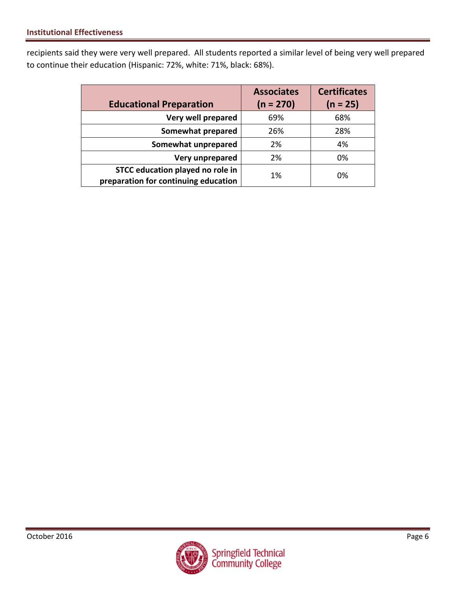recipients said they were very well prepared. All students reported a similar level of being very well prepared to continue their education (Hispanic: 72%, white: 71%, black: 68%).

| <b>Educational Preparation</b>                                           | <b>Associates</b><br>$(n = 270)$ | <b>Certificates</b><br>$(n = 25)$ |
|--------------------------------------------------------------------------|----------------------------------|-----------------------------------|
| Very well prepared                                                       | 69%                              | 68%                               |
| Somewhat prepared                                                        | 26%                              | 28%                               |
| Somewhat unprepared                                                      | 2%                               | 4%                                |
| Very unprepared                                                          | 2%                               | 0%                                |
| STCC education played no role in<br>preparation for continuing education | 1%                               | 0%                                |

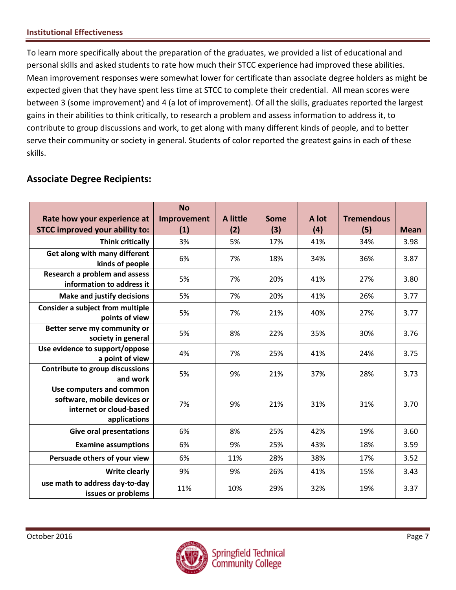To learn more specifically about the preparation of the graduates, we provided a list of educational and personal skills and asked students to rate how much their STCC experience had improved these abilities. Mean improvement responses were somewhat lower for certificate than associate degree holders as might be expected given that they have spent less time at STCC to complete their credential. All mean scores were between 3 (some improvement) and 4 (a lot of improvement). Of all the skills, graduates reported the largest gains in their abilities to think critically, to research a problem and assess information to address it, to contribute to group discussions and work, to get along with many different kinds of people, and to better serve their community or society in general. Students of color reported the greatest gains in each of these skills.

## **Associate Degree Recipients:**

| Rate how your experience at                                                                        | <b>No</b><br>Improvement | A little | Some | A lot | <b>Tremendous</b> |             |
|----------------------------------------------------------------------------------------------------|--------------------------|----------|------|-------|-------------------|-------------|
| <b>STCC improved your ability to:</b>                                                              | (1)                      | (2)      | (3)  | (4)   | (5)               | <b>Mean</b> |
| <b>Think critically</b>                                                                            | 3%                       | 5%       | 17%  | 41%   | 34%               | 3.98        |
| Get along with many different<br>kinds of people                                                   | 6%                       | 7%       | 18%  | 34%   | 36%               | 3.87        |
| Research a problem and assess<br>information to address it                                         | 5%                       | 7%       | 20%  | 41%   | 27%               | 3.80        |
| <b>Make and justify decisions</b>                                                                  | 5%                       | 7%       | 20%  | 41%   | 26%               | 3.77        |
| Consider a subject from multiple<br>points of view                                                 | 5%                       | 7%       | 21%  | 40%   | 27%               | 3.77        |
| Better serve my community or<br>society in general                                                 | 5%                       | 8%       | 22%  | 35%   | 30%               | 3.76        |
| Use evidence to support/oppose<br>a point of view                                                  | 4%                       | 7%       | 25%  | 41%   | 24%               | 3.75        |
| Contribute to group discussions<br>and work                                                        | 5%                       | 9%       | 21%  | 37%   | 28%               | 3.73        |
| Use computers and common<br>software, mobile devices or<br>internet or cloud-based<br>applications | 7%                       | 9%       | 21%  | 31%   | 31%               | 3.70        |
| <b>Give oral presentations</b>                                                                     | 6%                       | 8%       | 25%  | 42%   | 19%               | 3.60        |
| <b>Examine assumptions</b>                                                                         | 6%                       | 9%       | 25%  | 43%   | 18%               | 3.59        |
| Persuade others of your view                                                                       | 6%                       | 11%      | 28%  | 38%   | 17%               | 3.52        |
| <b>Write clearly</b>                                                                               | 9%                       | 9%       | 26%  | 41%   | 15%               | 3.43        |
| use math to address day-to-day<br>issues or problems                                               | 11%                      | 10%      | 29%  | 32%   | 19%               | 3.37        |

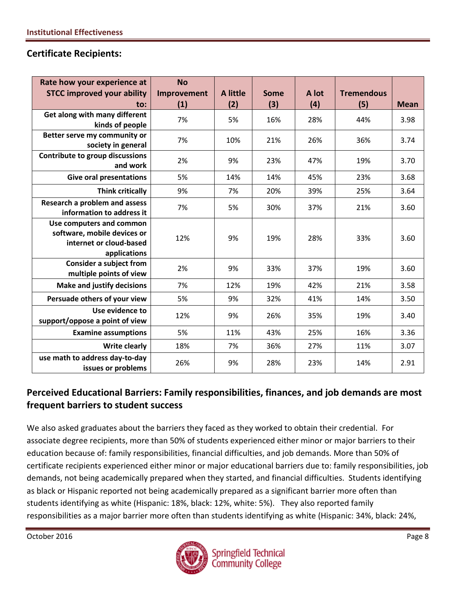## **Certificate Recipients:**

| Rate how your experience at<br><b>STCC improved your ability</b>                                   | <b>No</b><br>Improvement | <b>A</b> little | <b>Some</b> | A lot | <b>Tremendous</b> |             |
|----------------------------------------------------------------------------------------------------|--------------------------|-----------------|-------------|-------|-------------------|-------------|
| $\mathsf{to}$ :                                                                                    | (1)                      | (2)             | (3)         | (4)   | (5)               | <b>Mean</b> |
| Get along with many different<br>kinds of people                                                   | 7%                       | 5%              | 16%         | 28%   | 44%               | 3.98        |
| Better serve my community or<br>society in general                                                 | 7%                       | 10%             | 21%         | 26%   | 36%               | 3.74        |
| Contribute to group discussions<br>and work                                                        | 2%                       | 9%              | 23%         | 47%   | 19%               | 3.70        |
| <b>Give oral presentations</b>                                                                     | 5%                       | 14%             | 14%         | 45%   | 23%               | 3.68        |
| <b>Think critically</b>                                                                            | 9%                       | 7%              | 20%         | 39%   | 25%               | 3.64        |
| Research a problem and assess<br>information to address it                                         | 7%                       | 5%              | 30%         | 37%   | 21%               | 3.60        |
| Use computers and common<br>software, mobile devices or<br>internet or cloud-based<br>applications | 12%                      | 9%              | 19%         | 28%   | 33%               | 3.60        |
| <b>Consider a subject from</b><br>multiple points of view                                          | 2%                       | 9%              | 33%         | 37%   | 19%               | 3.60        |
| <b>Make and justify decisions</b>                                                                  | 7%                       | 12%             | 19%         | 42%   | 21%               | 3.58        |
| Persuade others of your view                                                                       | 5%                       | 9%              | 32%         | 41%   | 14%               | 3.50        |
| Use evidence to<br>support/oppose a point of view                                                  | 12%                      | 9%              | 26%         | 35%   | 19%               | 3.40        |
| <b>Examine assumptions</b>                                                                         | 5%                       | 11%             | 43%         | 25%   | 16%               | 3.36        |
| <b>Write clearly</b>                                                                               | 18%                      | 7%              | 36%         | 27%   | 11%               | 3.07        |
| use math to address day-to-day<br>issues or problems                                               | 26%                      | 9%              | 28%         | 23%   | 14%               | 2.91        |

## **Perceived Educational Barriers: Family responsibilities, finances, and job demands are most frequent barriers to student success**

We also asked graduates about the barriers they faced as they worked to obtain their credential. For associate degree recipients, more than 50% of students experienced either minor or major barriers to their education because of: family responsibilities, financial difficulties, and job demands. More than 50% of certificate recipients experienced either minor or major educational barriers due to: family responsibilities, job demands, not being academically prepared when they started, and financial difficulties. Students identifying as black or Hispanic reported not being academically prepared as a significant barrier more often than students identifying as white (Hispanic: 18%, black: 12%, white: 5%). They also reported family responsibilities as a major barrier more often than students identifying as white (Hispanic: 34%, black: 24%,

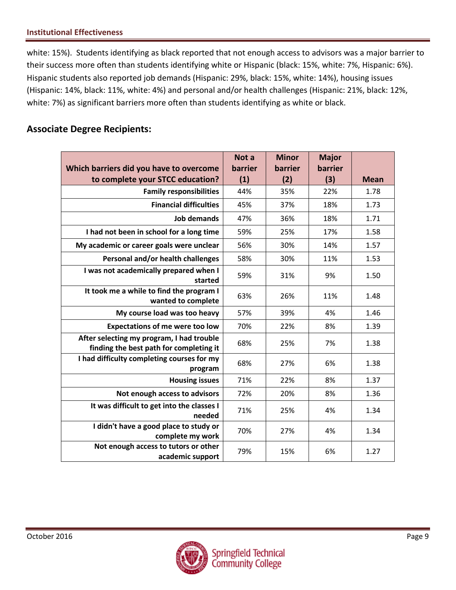white: 15%). Students identifying as black reported that not enough access to advisors was a major barrier to their success more often than students identifying white or Hispanic (black: 15%, white: 7%, Hispanic: 6%). Hispanic students also reported job demands (Hispanic: 29%, black: 15%, white: 14%), housing issues (Hispanic: 14%, black: 11%, white: 4%) and personal and/or health challenges (Hispanic: 21%, black: 12%, white: 7%) as significant barriers more often than students identifying as white or black.

## **Associate Degree Recipients:**

|                                                                                      | Not a   | <b>Minor</b> | <b>Major</b> |             |
|--------------------------------------------------------------------------------------|---------|--------------|--------------|-------------|
| Which barriers did you have to overcome                                              | barrier | barrier      | barrier      |             |
| to complete your STCC education?                                                     | (1)     | (2)          | (3)          | <b>Mean</b> |
| <b>Family responsibilities</b>                                                       | 44%     | 35%          | 22%          | 1.78        |
| <b>Financial difficulties</b>                                                        | 45%     | 37%          | 18%          | 1.73        |
| <b>Job demands</b>                                                                   | 47%     | 36%          | 18%          | 1.71        |
| I had not been in school for a long time                                             | 59%     | 25%          | 17%          | 1.58        |
| My academic or career goals were unclear                                             | 56%     | 30%          | 14%          | 1.57        |
| Personal and/or health challenges                                                    | 58%     | 30%          | 11%          | 1.53        |
| I was not academically prepared when I<br>started                                    | 59%     | 31%          | 9%           | 1.50        |
| It took me a while to find the program I<br>wanted to complete                       | 63%     | 26%          | 11%          | 1.48        |
| My course load was too heavy                                                         | 57%     | 39%          | 4%           | 1.46        |
| <b>Expectations of me were too low</b>                                               | 70%     | 22%          | 8%           | 1.39        |
| After selecting my program, I had trouble<br>finding the best path for completing it | 68%     | 25%          | 7%           | 1.38        |
| I had difficulty completing courses for my<br>program                                | 68%     | 27%          | 6%           | 1.38        |
| <b>Housing issues</b>                                                                | 71%     | 22%          | 8%           | 1.37        |
| Not enough access to advisors                                                        | 72%     | 20%          | 8%           | 1.36        |
| It was difficult to get into the classes I<br>needed                                 | 71%     | 25%          | 4%           | 1.34        |
| I didn't have a good place to study or<br>complete my work                           | 70%     | 27%          | 4%           | 1.34        |
| Not enough access to tutors or other<br>academic support                             | 79%     | 15%          | 6%           | 1.27        |

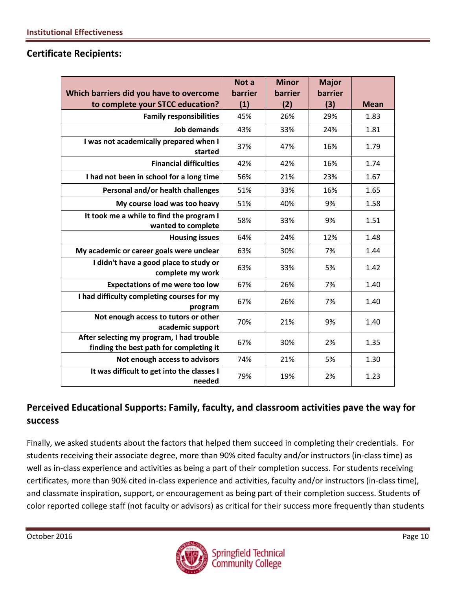## **Certificate Recipients:**

|                                                                                      | Not a   | <b>Minor</b> | <b>Major</b> |             |
|--------------------------------------------------------------------------------------|---------|--------------|--------------|-------------|
| Which barriers did you have to overcome                                              | barrier | barrier      | barrier      |             |
| to complete your STCC education?                                                     | (1)     | (2)          | (3)          | <b>Mean</b> |
| <b>Family responsibilities</b>                                                       | 45%     | 26%          | 29%          | 1.83        |
| <b>Job demands</b>                                                                   | 43%     | 33%          | 24%          | 1.81        |
| I was not academically prepared when I<br>started                                    | 37%     | 47%          | 16%          | 1.79        |
| <b>Financial difficulties</b>                                                        | 42%     | 42%          | 16%          | 1.74        |
| I had not been in school for a long time                                             | 56%     | 21%          | 23%          | 1.67        |
| Personal and/or health challenges                                                    | 51%     | 33%          | 16%          | 1.65        |
| My course load was too heavy                                                         | 51%     | 40%          | 9%           | 1.58        |
| It took me a while to find the program I<br>wanted to complete                       | 58%     | 33%          | 9%           | 1.51        |
| <b>Housing issues</b>                                                                | 64%     | 24%          | 12%          | 1.48        |
| My academic or career goals were unclear                                             | 63%     | 30%          | 7%           | 1.44        |
| I didn't have a good place to study or<br>complete my work                           | 63%     | 33%          | 5%           | 1.42        |
| <b>Expectations of me were too low</b>                                               | 67%     | 26%          | 7%           | 1.40        |
| I had difficulty completing courses for my<br>program                                | 67%     | 26%          | 7%           | 1.40        |
| Not enough access to tutors or other<br>academic support                             | 70%     | 21%          | 9%           | 1.40        |
| After selecting my program, I had trouble<br>finding the best path for completing it | 67%     | 30%          | 2%           | 1.35        |
| Not enough access to advisors                                                        | 74%     | 21%          | 5%           | 1.30        |
| It was difficult to get into the classes I<br>needed                                 | 79%     | 19%          | 2%           | 1.23        |

## **Perceived Educational Supports: Family, faculty, and classroom activities pave the way for success**

Finally, we asked students about the factors that helped them succeed in completing their credentials. For students receiving their associate degree, more than 90% cited faculty and/or instructors (in-class time) as well as in-class experience and activities as being a part of their completion success. For students receiving certificates, more than 90% cited in-class experience and activities, faculty and/or instructors (in-class time), and classmate inspiration, support, or encouragement as being part of their completion success. Students of color reported college staff (not faculty or advisors) as critical for their success more frequently than students

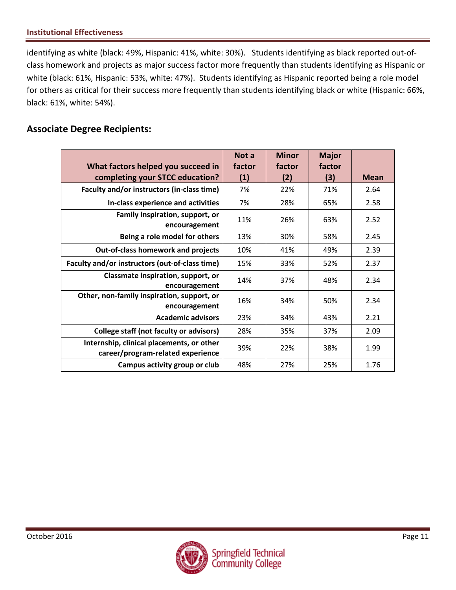identifying as white (black: 49%, Hispanic: 41%, white: 30%). Students identifying as black reported out-ofclass homework and projects as major success factor more frequently than students identifying as Hispanic or white (black: 61%, Hispanic: 53%, white: 47%). Students identifying as Hispanic reported being a role model for others as critical for their success more frequently than students identifying black or white (Hispanic: 66%, black: 61%, white: 54%).

## **Associate Degree Recipients:**

|                                                                                | Not a  | <b>Minor</b> | <b>Major</b> |      |
|--------------------------------------------------------------------------------|--------|--------------|--------------|------|
| What factors helped you succeed in                                             | factor | factor       | factor       |      |
| completing your STCC education?                                                | (1)    | (2)          | (3)          | Mean |
| Faculty and/or instructors (in-class time)                                     | 7%     | 22%          | 71%          | 2.64 |
| In-class experience and activities                                             | 7%     | 28%          | 65%          | 2.58 |
| Family inspiration, support, or<br>encouragement                               | 11%    | 26%          | 63%          | 2.52 |
| Being a role model for others                                                  | 13%    | 30%          | 58%          | 2.45 |
| Out-of-class homework and projects                                             | 10%    | 41%          | 49%          | 2.39 |
| Faculty and/or instructors (out-of-class time)                                 | 15%    | 33%          | 52%          | 2.37 |
| Classmate inspiration, support, or<br>encouragement                            | 14%    | 37%          | 48%          | 2.34 |
| Other, non-family inspiration, support, or<br>encouragement                    | 16%    | 34%          | 50%          | 2.34 |
| <b>Academic advisors</b>                                                       | 23%    | 34%          | 43%          | 2.21 |
| College staff (not faculty or advisors)                                        | 28%    | 35%          | 37%          | 2.09 |
| Internship, clinical placements, or other<br>career/program-related experience | 39%    | 22%          | 38%          | 1.99 |
| Campus activity group or club                                                  | 48%    | 27%          | 25%          | 1.76 |

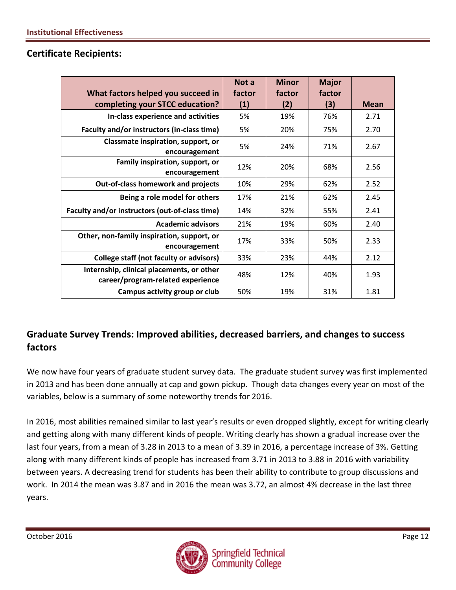| What factors helped you succeed in                                             | Not a<br>factor | <b>Minor</b><br>factor | <b>Major</b><br>factor |      |
|--------------------------------------------------------------------------------|-----------------|------------------------|------------------------|------|
| completing your STCC education?                                                | (1)             | (2)                    | (3)                    | Mean |
| In-class experience and activities                                             | 5%              | 19%                    | 76%                    | 2.71 |
| Faculty and/or instructors (in-class time)                                     | 5%              | 20%                    | 75%                    | 2.70 |
| Classmate inspiration, support, or<br>encouragement                            | 5%              | 24%                    | 71%                    | 2.67 |
| Family inspiration, support, or<br>encouragement                               | 12%             | 20%                    | 68%                    | 2.56 |
| <b>Out-of-class homework and projects</b>                                      | 10%             | 29%                    | 62%                    | 2.52 |
| Being a role model for others                                                  | 17%             | 21%                    | 62%                    | 2.45 |
| Faculty and/or instructors (out-of-class time)                                 | 14%             | 32%                    | 55%                    | 2.41 |
| <b>Academic advisors</b>                                                       | 21%             | 19%                    | 60%                    | 2.40 |
| Other, non-family inspiration, support, or<br>encouragement                    | 17%             | 33%                    | 50%                    | 2.33 |
| College staff (not faculty or advisors)                                        | 33%             | 23%                    | 44%                    | 2.12 |
| Internship, clinical placements, or other<br>career/program-related experience | 48%             | 12%                    | 40%                    | 1.93 |
| Campus activity group or club                                                  | 50%             | 19%                    | 31%                    | 1.81 |

## **Certificate Recipients:**

## **Graduate Survey Trends: Improved abilities, decreased barriers, and changes to success factors**

We now have four years of graduate student survey data. The graduate student survey was first implemented in 2013 and has been done annually at cap and gown pickup. Though data changes every year on most of the variables, below is a summary of some noteworthy trends for 2016.

In 2016, most abilities remained similar to last year's results or even dropped slightly, except for writing clearly and getting along with many different kinds of people. Writing clearly has shown a gradual increase over the last four years, from a mean of 3.28 in 2013 to a mean of 3.39 in 2016, a percentage increase of 3%. Getting along with many different kinds of people has increased from 3.71 in 2013 to 3.88 in 2016 with variability between years. A decreasing trend for students has been their ability to contribute to group discussions and work. In 2014 the mean was 3.87 and in 2016 the mean was 3.72, an almost 4% decrease in the last three years.

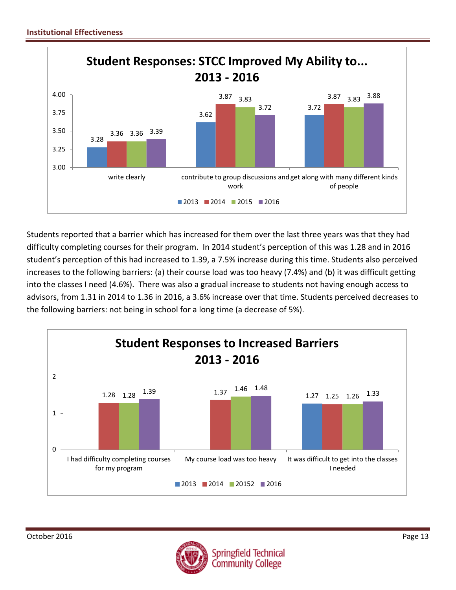

Students reported that a barrier which has increased for them over the last three years was that they had difficulty completing courses for their program. In 2014 student's perception of this was 1.28 and in 2016 student's perception of this had increased to 1.39, a 7.5% increase during this time. Students also perceived increases to the following barriers: (a) their course load was too heavy (7.4%) and (b) it was difficult getting into the classes I need (4.6%). There was also a gradual increase to students not having enough access to advisors, from 1.31 in 2014 to 1.36 in 2016, a 3.6% increase over that time. Students perceived decreases to the following barriers: not being in school for a long time (a decrease of 5%).



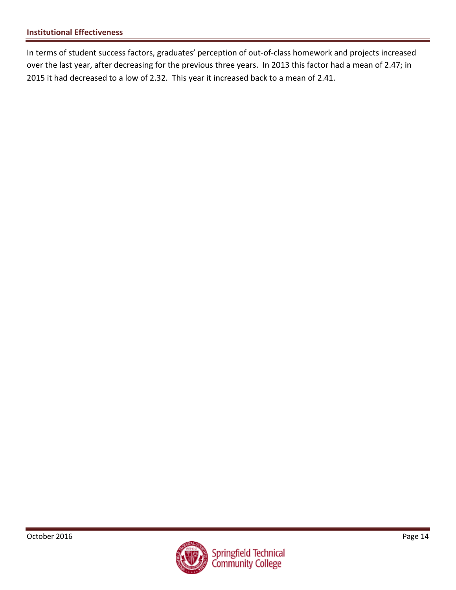In terms of student success factors, graduates' perception of out-of-class homework and projects increased over the last year, after decreasing for the previous three years. In 2013 this factor had a mean of 2.47; in 2015 it had decreased to a low of 2.32. This year it increased back to a mean of 2.41.

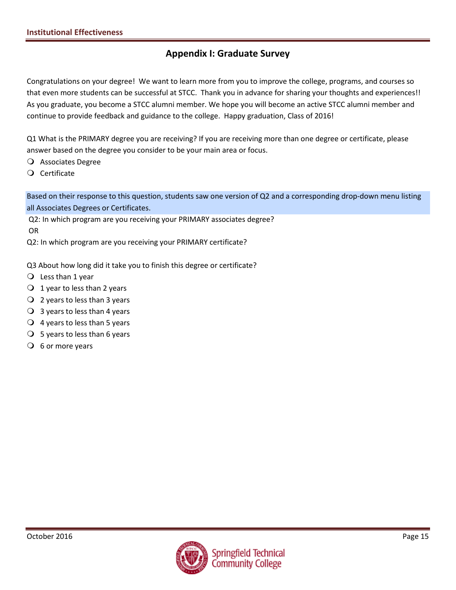## **Appendix I: Graduate Survey**

Congratulations on your degree! We want to learn more from you to improve the college, programs, and courses so that even more students can be successful at STCC. Thank you in advance for sharing your thoughts and experiences!! As you graduate, you become a STCC alumni member. We hope you will become an active STCC alumni member and continue to provide feedback and guidance to the college. Happy graduation, Class of 2016!

Q1 What is the PRIMARY degree you are receiving? If you are receiving more than one degree or certificate, please answer based on the degree you consider to be your main area or focus.

Associates Degree

Certificate

Based on their response to this question, students saw one version of Q2 and a corresponding drop-down menu listing all Associates Degrees or Certificates.

Q2: In which program are you receiving your PRIMARY associates degree?

OR

Q2: In which program are you receiving your PRIMARY certificate?

Q3 About how long did it take you to finish this degree or certificate?

- $Q$  Less than 1 year
- $\bigcirc$  1 year to less than 2 years
- 2 years to less than 3 years
- $\bigcirc$  3 years to less than 4 years
- $\overline{Q}$  4 years to less than 5 years
- $\bigcirc$  5 years to less than 6 years
- $\overline{O}$  6 or more years

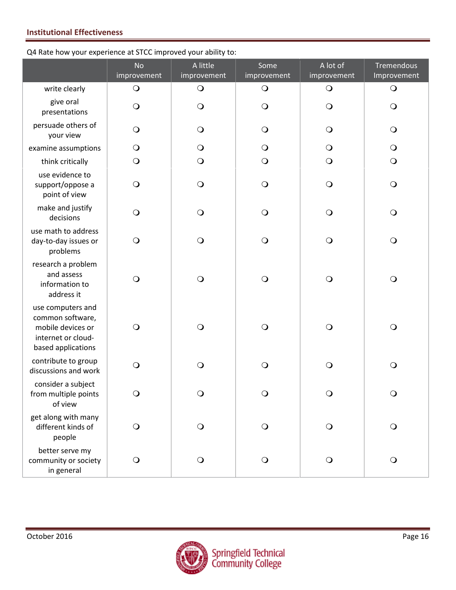#### Q4 Rate how your experience at STCC improved your ability to:

|                                                                                                        | <b>No</b><br>improvement | A little<br>improvement | Some<br>improvement | A lot of<br>improvement | <b>Tremendous</b><br>Improvement |
|--------------------------------------------------------------------------------------------------------|--------------------------|-------------------------|---------------------|-------------------------|----------------------------------|
| write clearly                                                                                          | $\bigcirc$               | $\bigcirc$              | $\bigcirc$          | $\bigcirc$              | $\bigcirc$                       |
| give oral<br>presentations                                                                             | $\bigcirc$               | $\bigcirc$              | $\bigcirc$          | $\bigcirc$              | $\bigcirc$                       |
| persuade others of<br>your view                                                                        | $\bigcirc$               | $\bigcirc$              | $\bigcirc$          | $\bigcirc$              | $\bigcirc$                       |
| examine assumptions                                                                                    | $\bigcirc$               | $\bigcirc$              | $\bigcirc$          | $\bigcirc$              | $\bigcirc$                       |
| think critically                                                                                       | $\bigcirc$               | $\bigcirc$              | $\bigcirc$          | $\bigcirc$              | $\bigcirc$                       |
| use evidence to<br>support/oppose a<br>point of view                                                   | $\bigcirc$               | $\bigcirc$              | $\bigcirc$          | $\bigcirc$              | $\bigcirc$                       |
| make and justify<br>decisions                                                                          | $\bigcirc$               | $\bigcirc$              | $\bigcirc$          | $\bigcirc$              | $\bigcirc$                       |
| use math to address<br>day-to-day issues or<br>problems                                                | $\bigcirc$               | $\bigcirc$              | $\bigcirc$          | $\bigcirc$              | $\bigcirc$                       |
| research a problem<br>and assess<br>information to<br>address it                                       | $\bigcirc$               | $\bigcirc$              | $\bigcirc$          | $\bigcirc$              | $\bigcirc$                       |
| use computers and<br>common software,<br>mobile devices or<br>internet or cloud-<br>based applications | $\bigcirc$               | $\bigcirc$              | $\bigcirc$          | $\bigcirc$              | $\bigcirc$                       |
| contribute to group<br>discussions and work                                                            | $\bigcirc$               | $\bigcirc$              | $\bigcirc$          | $\bigcirc$              | $\bigcirc$                       |
| consider a subject<br>from multiple points<br>of view                                                  | $\bigcirc$               | $\bigcirc$              | $\bigcirc$          | $\bigcirc$              | $\bigcirc$                       |
| get along with many<br>different kinds of<br>people                                                    | $\bigcirc$               | $\bigcirc$              | $\bigcirc$          | $\bigcirc$              | $\bigcirc$                       |
| better serve my<br>community or society<br>in general                                                  | $\bigcirc$               | $\bigcirc$              | $\bigcirc$          | $\bigcirc$              | $\bigcirc$                       |

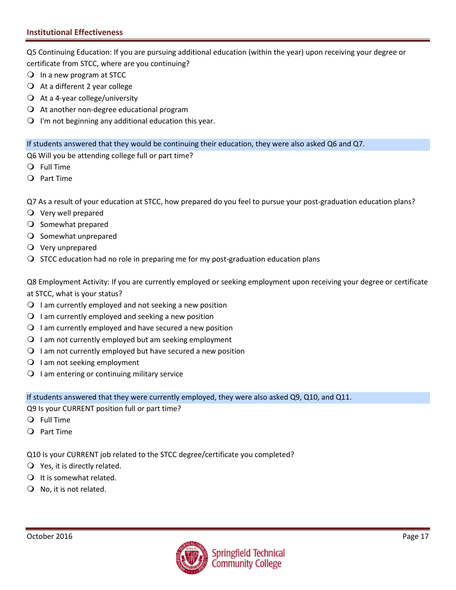Q5 Continuing Education: If you are pursuing additional education (within the year) upon receiving your degree or certificate from STCC, where are you continuing?

- $\bigcirc$  In a new program at STCC
- $\overline{Q}$  At a different 2 year college
- $\bigcirc$  At a 4-year college/university
- $\Omega$  At another non-degree educational program
- $\Omega$  I'm not beginning any additional education this year.

If students answered that they would be continuing their education, they were also asked Q6 and Q7.

Q6 Will you be attending college full or part time?

- Full Time
- Part Time

Q7 As a result of your education at STCC, how prepared do you feel to pursue your post-graduation education plans?

- Very well prepared
- O Somewhat prepared
- $\bigcirc$  Somewhat unprepared
- $\overline{Q}$  Very unprepared
- $\bigcirc$  STCC education had no role in preparing me for my post-graduation education plans

Q8 Employment Activity: If you are currently employed or seeking employment upon receiving your degree or certificate at STCC, what is your status?

- $\Omega$  I am currently employed and not seeking a new position
- $\bigcirc$  I am currently employed and seeking a new position
- $\Omega$  I am currently employed and have secured a new position
- $\Omega$  I am not currently employed but am seeking employment
- $\Omega$  I am not currently employed but have secured a new position
- $\bigcirc$  I am not seeking employment
- $\bigcirc$  I am entering or continuing military service

If students answered that they were currently employed, they were also asked Q9, Q10, and Q11.

Q9 Is your CURRENT position full or part time?

- Full Time
- Part Time

Q10 Is your CURRENT job related to the STCC degree/certificate you completed?

- $Q$  Yes, it is directly related.
- $\bigcirc$  It is somewhat related.
- $\bigcirc$  No, it is not related.

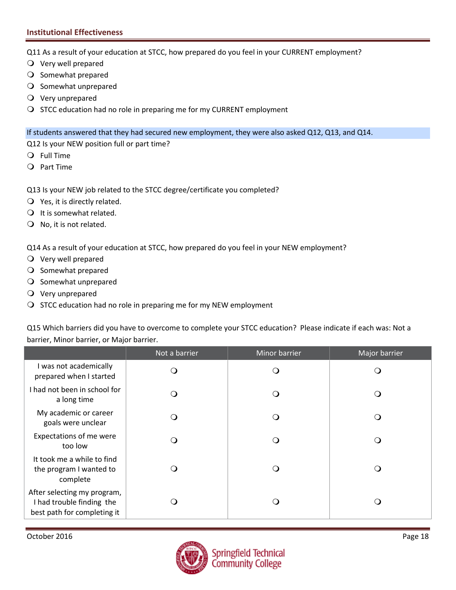Q11 As a result of your education at STCC, how prepared do you feel in your CURRENT employment?

- Very well prepared
- O Somewhat prepared
- O Somewhat unprepared
- Very unprepared
- O STCC education had no role in preparing me for my CURRENT employment

If students answered that they had secured new employment, they were also asked Q12, Q13, and Q14.

Q12 Is your NEW position full or part time?

- Full Time
- Part Time
- Q13 Is your NEW job related to the STCC degree/certificate you completed?
- $\bigcirc$  Yes, it is directly related.
- $\bigcirc$  It is somewhat related.
- $\bigcirc$  No, it is not related.

Q14 As a result of your education at STCC, how prepared do you feel in your NEW employment?

- Very well prepared
- O Somewhat prepared
- O Somewhat unprepared
- Very unprepared
- $\bigcirc$  STCC education had no role in preparing me for my NEW employment

Q15 Which barriers did you have to overcome to complete your STCC education? Please indicate if each was: Not a barrier, Minor barrier, or Major barrier.

|                                                                                         | Not a barrier | Minor barrier | Major barrier |
|-----------------------------------------------------------------------------------------|---------------|---------------|---------------|
| I was not academically<br>prepared when I started                                       | ∩             | 0             |               |
| I had not been in school for<br>a long time                                             |               | 0             | ◯             |
| My academic or career<br>goals were unclear                                             |               | 0             |               |
| Expectations of me were<br>too low                                                      |               | - 1           |               |
| It took me a while to find<br>the program I wanted to<br>complete                       |               | - 1           |               |
| After selecting my program,<br>I had trouble finding the<br>best path for completing it |               | . .           |               |

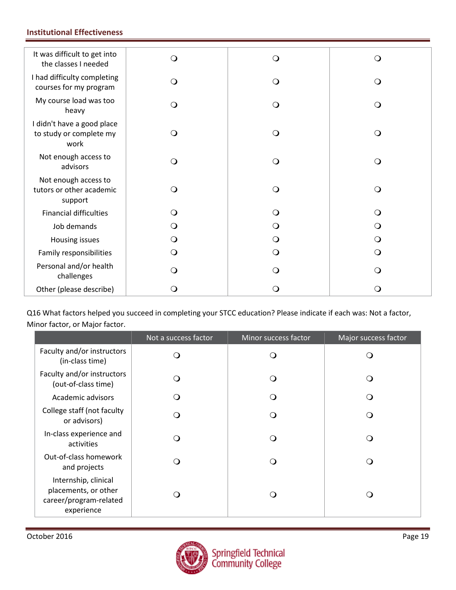| It was difficult to get into<br>the classes I needed          | O        | $\mathsf{O}$ | ∩        |
|---------------------------------------------------------------|----------|--------------|----------|
| I had difficulty completing<br>courses for my program         | $\circ$  | $\circ$      | $\Omega$ |
| My course load was too<br>heavy                               | O        | O            | ∩        |
| I didn't have a good place<br>to study or complete my<br>work | O        | $\Omega$     | $\Omega$ |
| Not enough access to<br>advisors                              | $\circ$  | O            | $\Omega$ |
| Not enough access to<br>tutors or other academic<br>support   | O        | O            | $\Omega$ |
| <b>Financial difficulties</b>                                 | $\Omega$ | O            |          |
| Job demands                                                   | (၂       | O            |          |
| Housing issues                                                | Ő        | Q            |          |
| Family responsibilities                                       | O        | $\Omega$     | Q        |
| Personal and/or health<br>challenges                          | ∩        | O            |          |
| Other (please describe)                                       | 0        | $\Omega$     |          |

Q16 What factors helped you succeed in completing your STCC education? Please indicate if each was: Not a factor, Minor factor, or Major factor.

|                                                                                      | Not a success factor | Minor success factor | Major success factor |
|--------------------------------------------------------------------------------------|----------------------|----------------------|----------------------|
| Faculty and/or instructors<br>(in-class time)                                        | ( )                  |                      | $\Omega$             |
| Faculty and/or instructors<br>(out-of-class time)                                    | ∩                    |                      | ∩                    |
| Academic advisors                                                                    |                      |                      | ∩                    |
| College staff (not faculty<br>or advisors)                                           |                      | ่า                   | ∩                    |
| In-class experience and<br>activities                                                |                      | ่า                   | ∩                    |
| Out-of-class homework<br>and projects                                                |                      | - 1                  | ∩                    |
| Internship, clinical<br>placements, or other<br>career/program-related<br>experience |                      |                      | $\Omega$             |

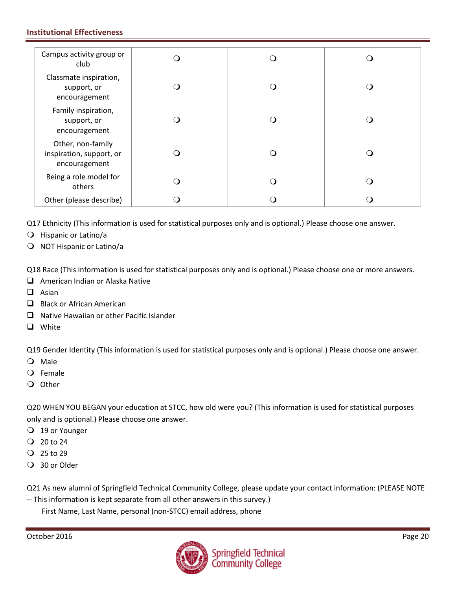| Campus activity group or<br>club                               |  |     |
|----------------------------------------------------------------|--|-----|
| Classmate inspiration,<br>support, or<br>encouragement         |  | ( ) |
| Family inspiration,<br>support, or<br>encouragement            |  |     |
| Other, non-family<br>inspiration, support, or<br>encouragement |  |     |
| Being a role model for<br>others                               |  | ( ) |
| Other (please describe)                                        |  |     |

Q17 Ethnicity (This information is used for statistical purposes only and is optional.) Please choose one answer.

- Hispanic or Latino/a
- O NOT Hispanic or Latino/a

Q18 Race (This information is used for statistical purposes only and is optional.) Please choose one or more answers.

- $\Box$  American Indian or Alaska Native
- $\Box$  Asian
- Black or African American
- $\Box$  Native Hawaiian or other Pacific Islander
- **Q** White

Q19 Gender Identity (This information is used for statistical purposes only and is optional.) Please choose one answer.

- Male
- Female
- Q Other

Q20 WHEN YOU BEGAN your education at STCC, how old were you? (This information is used for statistical purposes only and is optional.) Please choose one answer.

- 19 or Younger
- $Q$  20 to 24
- $Q$  25 to 29
- 30 or Older

Q21 As new alumni of Springfield Technical Community College, please update your contact information: (PLEASE NOTE

-- This information is kept separate from all other answers in this survey.) First Name, Last Name, personal (non-STCC) email address, phone

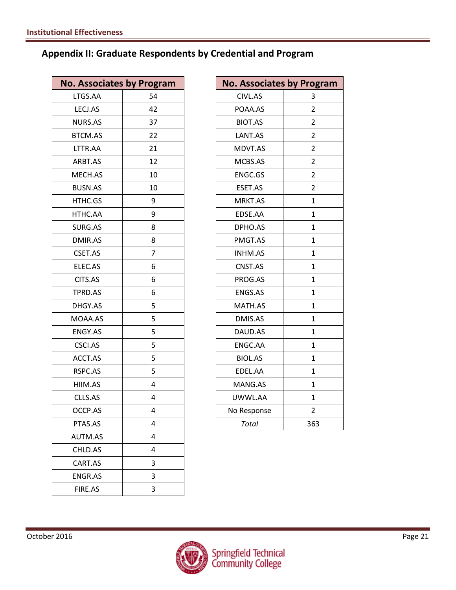## **Appendix II: Graduate Respondents by Credential and Program**

| <b>No. Associates by Program</b> |                | <b>No. Associates by Program</b> |                |
|----------------------------------|----------------|----------------------------------|----------------|
| LTGS.AA                          | 54             | CIVL.AS                          | 3              |
| LECJ.AS                          | 42             | POAA.AS                          | $\overline{2}$ |
| NURS.AS                          | 37             | BIOT.AS                          | $\overline{2}$ |
| BTCM.AS                          | 22             | LANT.AS                          | $\overline{2}$ |
| LTTR.AA                          | 21             | MDVT.AS                          | $\overline{2}$ |
| ARBT.AS                          | 12             | MCBS.AS                          | $\overline{2}$ |
| MECH.AS                          | 10             | ENGC.GS                          | $\overline{2}$ |
| BUSN.AS                          | 10             | ESET.AS                          | $\overline{2}$ |
| HTHC.GS                          | 9              | MRKT.AS                          | $\mathbf{1}$   |
| HTHC.AA                          | 9              | EDSE.AA                          | $\mathbf{1}$   |
| SURG.AS                          | 8              | DPHO.AS                          | $\mathbf{1}$   |
| DMIR.AS                          | 8              | PMGT.AS                          | $\mathbf{1}$   |
| CSET.AS                          | $\overline{7}$ | INHM.AS                          | $\mathbf{1}$   |
| ELEC.AS                          | 6              | CNST.AS                          | $\mathbf{1}$   |
| CITS.AS                          | 6              | PROG.AS                          | $\mathbf{1}$   |
| TPRD.AS                          | 6              | ENGS.AS                          | $\mathbf{1}$   |
| DHGY.AS                          | 5              | MATH.AS                          | $\mathbf{1}$   |
| MOAA.AS                          | 5              | DMIS.AS                          | $\mathbf{1}$   |
| ENGY.AS                          | 5              | DAUD.AS                          | $\mathbf{1}$   |
| CSCI.AS                          | 5              | ENGC.AA                          | $\mathbf{1}$   |
| ACCT.AS                          | 5              | BIOL.AS                          | $\mathbf{1}$   |
| RSPC.AS                          | 5              | EDEL.AA                          | $\mathbf{1}$   |
| HIIM.AS                          | 4              | MANG.AS                          | $\mathbf{1}$   |
| CLLS.AS                          | 4              | UWWL.AA                          | $\mathbf{1}$   |
| OCCP.AS                          | 4              | No Response                      | $\overline{2}$ |
| PTAS.AS                          | 4              | <b>Total</b>                     | 363            |
| AUTM.AS                          | 4              |                                  |                |
| CHLD.AS                          | 4              |                                  |                |
| CART.AS                          | 3              |                                  |                |
| ENGR.AS                          | 3              |                                  |                |
| FIRE.AS                          | 3              |                                  |                |

| <b>No. Associates by Program</b> |                         |
|----------------------------------|-------------------------|
| CIVL.AS                          | 3                       |
| POAA.AS                          | $\overline{\mathbf{c}}$ |
| <b>BIOT.AS</b>                   | 2                       |
| LANT.AS                          | 2                       |
| MDVT.AS                          | $\overline{2}$          |
| MCBS.AS                          | 2                       |
| <b>ENGC.GS</b>                   | 2                       |
| ESET.AS                          | 2                       |
| MRKT.AS                          | 1                       |
| EDSE.AA                          | 1                       |
| DPHO.AS                          | 1                       |
| PMGT.AS                          | $\mathbf{1}$            |
| <b>INHM.AS</b>                   | $\mathbf{1}$            |
| CNST.AS                          | 1                       |
| PROG.AS                          | 1                       |
| <b>ENGS.AS</b>                   | 1                       |
| MATH.AS                          | $\mathbf{1}$            |
| DMIS.AS                          | 1                       |
| DAUD.AS                          | 1                       |
| ENGC.AA                          | 1                       |
| <b>BIOL.AS</b>                   | $\overline{1}$          |
| EDEL.AA                          | $\mathbf{1}$            |
| MANG.AS                          | 1                       |
| UWWL.AA                          | 1                       |
| No Response                      | $\overline{2}$          |
| <b>Total</b>                     | 363                     |